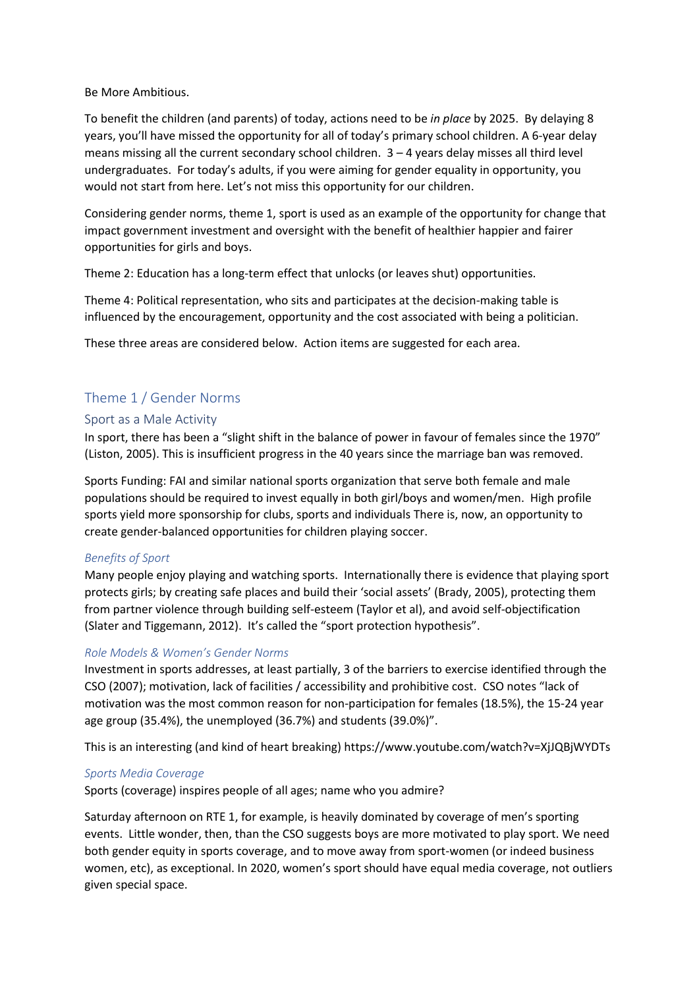Be More Ambitious.

To benefit the children (and parents) of today, actions need to be *in place* by 2025. By delaying 8 years, you'll have missed the opportunity for all of today's primary school children. A 6-year delay means missing all the current secondary school children. 3 – 4 years delay misses all third level undergraduates. For today's adults, if you were aiming for gender equality in opportunity, you would not start from here. Let's not miss this opportunity for our children.

Considering gender norms, theme 1, sport is used as an example of the opportunity for change that impact government investment and oversight with the benefit of healthier happier and fairer opportunities for girls and boys.

Theme 2: Education has a long-term effect that unlocks (or leaves shut) opportunities.

Theme 4: Political representation, who sits and participates at the decision-making table is influenced by the encouragement, opportunity and the cost associated with being a politician.

These three areas are considered below. Action items are suggested for each area.

# Theme 1 / Gender Norms

## Sport as a Male Activity

In sport, there has been a "slight shift in the balance of power in favour of females since the 1970" (Liston, 2005). This is insufficient progress in the 40 years since the marriage ban was removed.

Sports Funding: FAI and similar national sports organization that serve both female and male populations should be required to invest equally in both girl/boys and women/men. High profile sports yield more sponsorship for clubs, sports and individuals There is, now, an opportunity to create gender-balanced opportunities for children playing soccer.

### *Benefits of Sport*

Many people enjoy playing and watching sports. Internationally there is evidence that playing sport protects girls; by creating safe places and build their 'social assets' (Brady, 2005), protecting them from partner violence through building self-esteem (Taylor et al), and avoid self-objectification (Slater and Tiggemann, 2012). It's called the "sport protection hypothesis".

### *Role Models & Women's Gender Norms*

Investment in sports addresses, at least partially, 3 of the barriers to exercise identified through the CSO (2007); motivation, lack of facilities / accessibility and prohibitive cost. CSO notes "lack of motivation was the most common reason for non-participation for females (18.5%), the 15-24 year age group (35.4%), the unemployed (36.7%) and students (39.0%)".

This is an interesting (and kind of heart breaking) https://www.youtube.com/watch?v=XjJQBjWYDTs

### *Sports Media Coverage*

Sports (coverage) inspires people of all ages; name who you admire?

Saturday afternoon on RTE 1, for example, is heavily dominated by coverage of men's sporting events. Little wonder, then, than the CSO suggests boys are more motivated to play sport. We need both gender equity in sports coverage, and to move away from sport-women (or indeed business women, etc), as exceptional. In 2020, women's sport should have equal media coverage, not outliers given special space.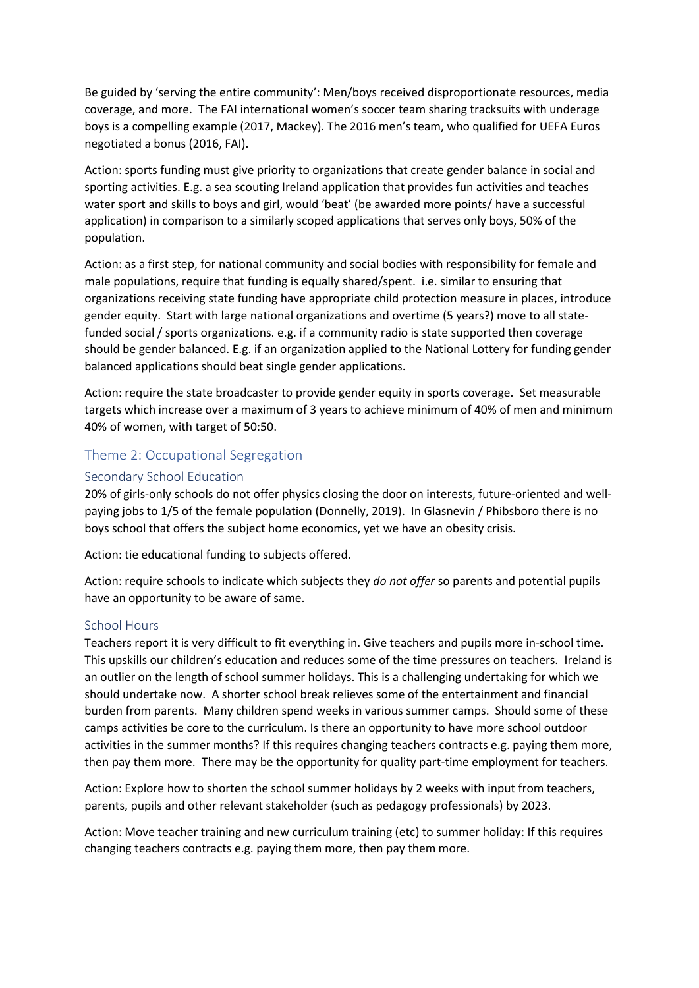Be guided by 'serving the entire community': Men/boys received disproportionate resources, media coverage, and more. The FAI international women's soccer team sharing tracksuits with underage boys is a compelling example (2017, Mackey). The 2016 men's team, who qualified for UEFA Euros negotiated a bonus (2016, FAI).

Action: sports funding must give priority to organizations that create gender balance in social and sporting activities. E.g. a sea scouting Ireland application that provides fun activities and teaches water sport and skills to boys and girl, would 'beat' (be awarded more points/ have a successful application) in comparison to a similarly scoped applications that serves only boys, 50% of the population.

Action: as a first step, for national community and social bodies with responsibility for female and male populations, require that funding is equally shared/spent. i.e. similar to ensuring that organizations receiving state funding have appropriate child protection measure in places, introduce gender equity. Start with large national organizations and overtime (5 years?) move to all statefunded social / sports organizations. e.g. if a community radio is state supported then coverage should be gender balanced. E.g. if an organization applied to the National Lottery for funding gender balanced applications should beat single gender applications.

Action: require the state broadcaster to provide gender equity in sports coverage. Set measurable targets which increase over a maximum of 3 years to achieve minimum of 40% of men and minimum 40% of women, with target of 50:50.

## Theme 2: Occupational Segregation

## Secondary School Education

20% of girls-only schools do not offer physics closing the door on interests, future-oriented and wellpaying jobs to 1/5 of the female population (Donnelly, 2019). In Glasnevin / Phibsboro there is no boys school that offers the subject home economics, yet we have an obesity crisis.

Action: tie educational funding to subjects offered.

Action: require schools to indicate which subjects they *do not offer* so parents and potential pupils have an opportunity to be aware of same.

### School Hours

Teachers report it is very difficult to fit everything in. Give teachers and pupils more in-school time. This upskills our children's education and reduces some of the time pressures on teachers. Ireland is an outlier on the length of school summer holidays. This is a challenging undertaking for which we should undertake now. A shorter school break relieves some of the entertainment and financial burden from parents. Many children spend weeks in various summer camps. Should some of these camps activities be core to the curriculum. Is there an opportunity to have more school outdoor activities in the summer months? If this requires changing teachers contracts e.g. paying them more, then pay them more. There may be the opportunity for quality part-time employment for teachers.

Action: Explore how to shorten the school summer holidays by 2 weeks with input from teachers, parents, pupils and other relevant stakeholder (such as pedagogy professionals) by 2023.

Action: Move teacher training and new curriculum training (etc) to summer holiday: If this requires changing teachers contracts e.g. paying them more, then pay them more.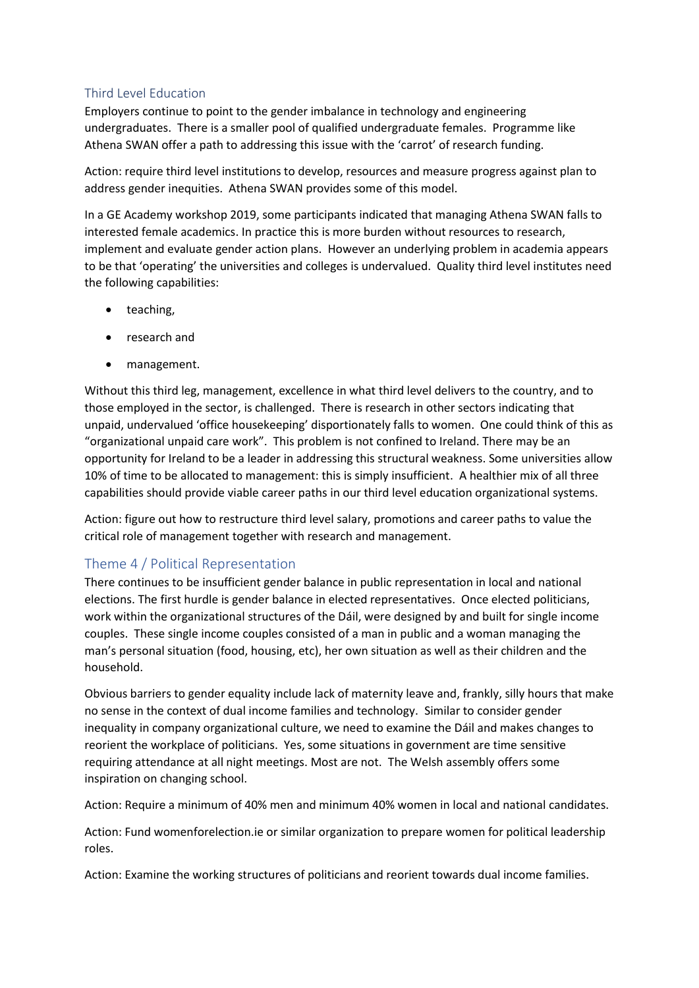## Third Level Education

Employers continue to point to the gender imbalance in technology and engineering undergraduates. There is a smaller pool of qualified undergraduate females. Programme like Athena SWAN offer a path to addressing this issue with the 'carrot' of research funding.

Action: require third level institutions to develop, resources and measure progress against plan to address gender inequities. Athena SWAN provides some of this model.

In a GE Academy workshop 2019, some participants indicated that managing Athena SWAN falls to interested female academics. In practice this is more burden without resources to research, implement and evaluate gender action plans. However an underlying problem in academia appears to be that 'operating' the universities and colleges is undervalued. Quality third level institutes need the following capabilities:

- teaching,
- research and
- management.

Without this third leg, management, excellence in what third level delivers to the country, and to those employed in the sector, is challenged. There is research in other sectors indicating that unpaid, undervalued 'office housekeeping' disportionately falls to women. One could think of this as "organizational unpaid care work". This problem is not confined to Ireland. There may be an opportunity for Ireland to be a leader in addressing this structural weakness. Some universities allow 10% of time to be allocated to management: this is simply insufficient. A healthier mix of all three capabilities should provide viable career paths in our third level education organizational systems.

Action: figure out how to restructure third level salary, promotions and career paths to value the critical role of management together with research and management.

# Theme 4 / Political Representation

There continues to be insufficient gender balance in public representation in local and national elections. The first hurdle is gender balance in elected representatives. Once elected politicians, work within the organizational structures of the Dáil, were designed by and built for single income couples. These single income couples consisted of a man in public and a woman managing the man's personal situation (food, housing, etc), her own situation as well as their children and the household.

Obvious barriers to gender equality include lack of maternity leave and, frankly, silly hours that make no sense in the context of dual income families and technology. Similar to consider gender inequality in company organizational culture, we need to examine the Dáil and makes changes to reorient the workplace of politicians. Yes, some situations in government are time sensitive requiring attendance at all night meetings. Most are not. The Welsh assembly offers some inspiration on changing school.

Action: Require a minimum of 40% men and minimum 40% women in local and national candidates.

Action: Fund womenforelection.ie or similar organization to prepare women for political leadership roles.

Action: Examine the working structures of politicians and reorient towards dual income families.